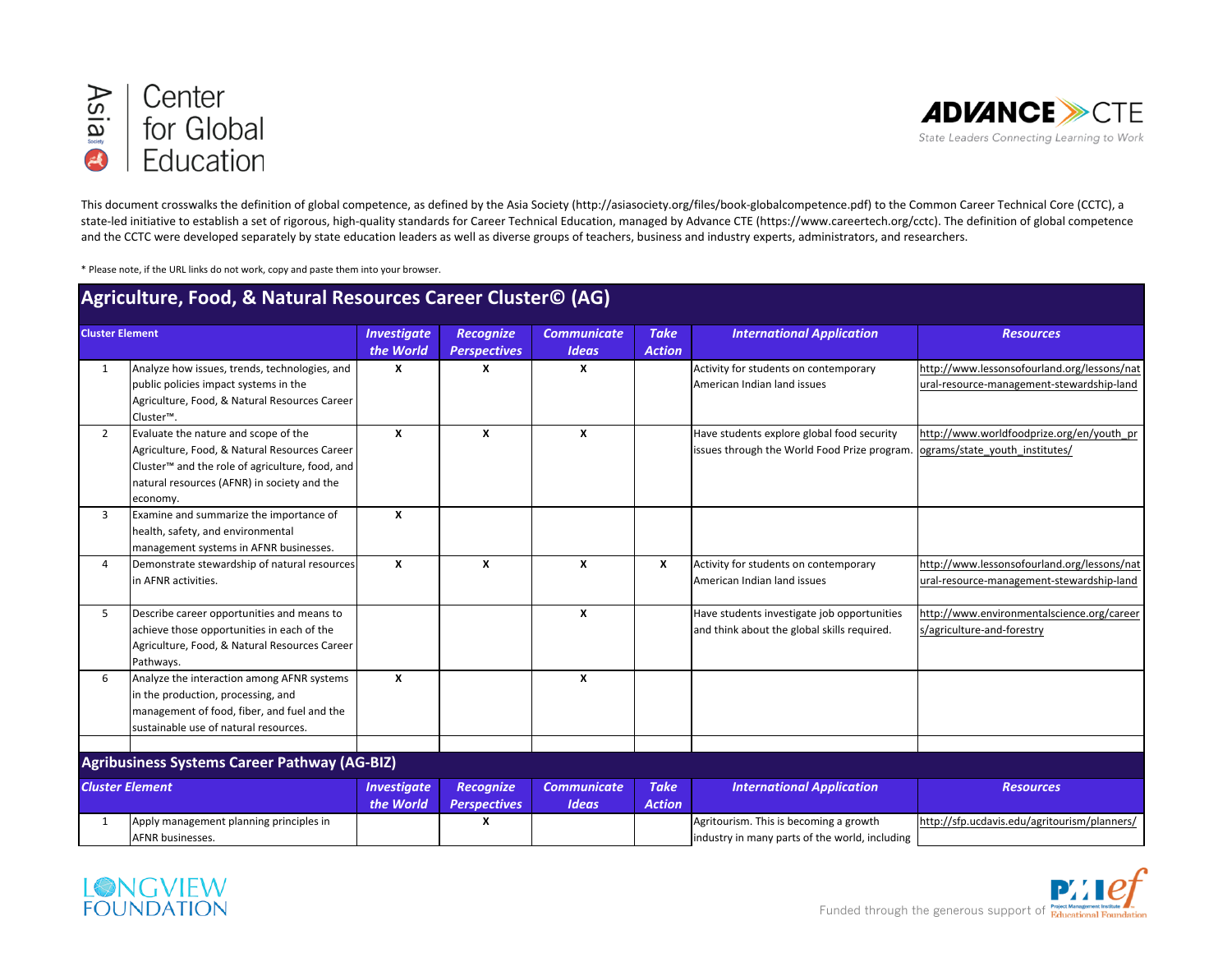



This document crosswalks the definition of global competence, as defined by the Asia Society (http://asiasociety.org/files/book-globalcompetence.pdf) to the Common Career Technical Core (CCTC), a state-led initiative to establish a set of rigorous, high-quality standards for Career Technical Education, managed by Advance CTE (https://www.careertech.org/cctc). The definition of global competence and the CCTC were developed separately by state education leaders as well as diverse groups of teachers, business and industry experts, administrators, and researchers.

\* Please note, if the URL links do not work, copy and paste them into your browser.

| Agriculture, Food, & Natural Resources Career Cluster© (AG) |                                                                                                                                                                                                                 |                                 |                                         |                                    |                              |                                                                                            |                                                                                          |  |
|-------------------------------------------------------------|-----------------------------------------------------------------------------------------------------------------------------------------------------------------------------------------------------------------|---------------------------------|-----------------------------------------|------------------------------------|------------------------------|--------------------------------------------------------------------------------------------|------------------------------------------------------------------------------------------|--|
| <b>Cluster Element</b>                                      |                                                                                                                                                                                                                 | <b>Investigate</b><br>the World | <b>Recognize</b><br><b>Perspectives</b> | <b>Communicate</b><br><b>Ideas</b> | <b>Take</b><br><b>Action</b> | <b>International Application</b>                                                           | <b>Resources</b>                                                                         |  |
| 1                                                           | Analyze how issues, trends, technologies, and<br>public policies impact systems in the<br>Agriculture, Food, & Natural Resources Career<br>Cluster™.                                                            | x                               | X                                       | x                                  |                              | Activity for students on contemporary<br>American Indian land issues                       | http://www.lessonsofourland.org/lessons/nat<br>ural-resource-management-stewardship-land |  |
| $\overline{2}$                                              | Evaluate the nature and scope of the<br>Agriculture, Food, & Natural Resources Career<br>Cluster <sup>™</sup> and the role of agriculture, food, and<br>natural resources (AFNR) in society and the<br>economy. | X                               | $\boldsymbol{x}$                        | $\mathbf{x}$                       |                              | Have students explore global food security<br>issues through the World Food Prize program. | http://www.worldfoodprize.org/en/youth_pr<br>lograms/state youth institutes/             |  |
| 3                                                           | Examine and summarize the importance of<br>health, safety, and environmental<br>management systems in AFNR businesses.                                                                                          | X                               |                                         |                                    |                              |                                                                                            |                                                                                          |  |
| Δ                                                           | Demonstrate stewardship of natural resources<br>in AFNR activities.                                                                                                                                             | X                               | x                                       | X                                  | x                            | Activity for students on contemporary<br>American Indian land issues                       | http://www.lessonsofourland.org/lessons/nat<br>ural-resource-management-stewardship-land |  |
| 5                                                           | Describe career opportunities and means to<br>achieve those opportunities in each of the<br>Agriculture, Food, & Natural Resources Career<br>Pathways.                                                          |                                 |                                         | X                                  |                              | Have students investigate job opportunities<br>and think about the global skills required. | http://www.environmentalscience.org/career<br>s/agriculture-and-forestry                 |  |
| 6                                                           | Analyze the interaction among AFNR systems<br>in the production, processing, and<br>management of food, fiber, and fuel and the<br>sustainable use of natural resources.                                        | X                               |                                         | x                                  |                              |                                                                                            |                                                                                          |  |
|                                                             | Agribusiness Systems Career Pathway (AG-BIZ)                                                                                                                                                                    |                                 |                                         |                                    |                              |                                                                                            |                                                                                          |  |
| <b>Cluster Element</b>                                      |                                                                                                                                                                                                                 | <b>Investigate</b><br>the World | <b>Recognize</b><br><b>Perspectives</b> | <b>Communicate</b><br><b>Ideas</b> | <b>Take</b><br><b>Action</b> | <b>International Application</b>                                                           | <b>Resources</b>                                                                         |  |
| 1                                                           | Apply management planning principles in<br>AFNR businesses.                                                                                                                                                     |                                 | X                                       |                                    |                              | Agritourism. This is becoming a growth<br>lindustry in many parts of the world, including  | http://sfp.ucdavis.edu/agritourism/planners/                                             |  |

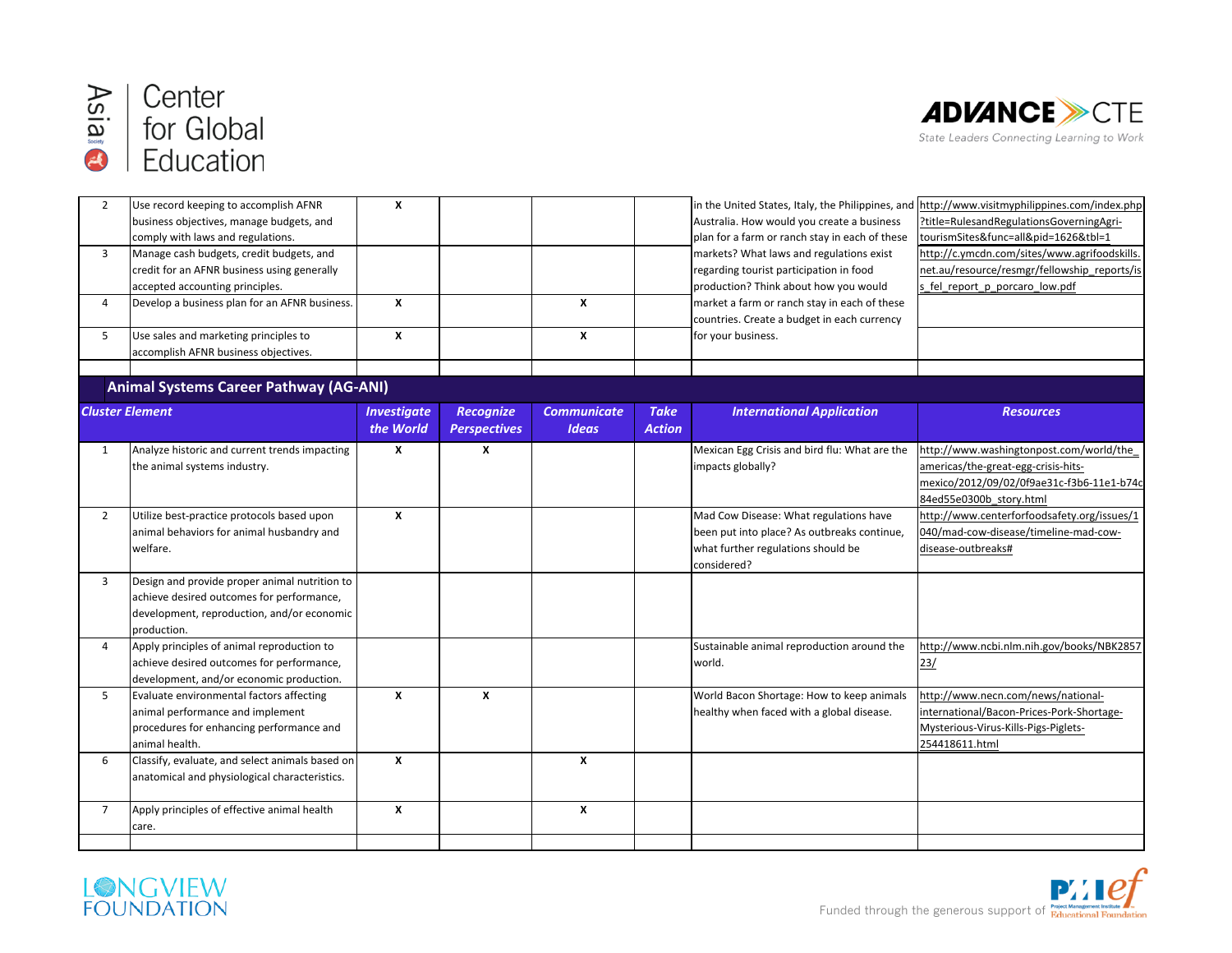



| $\overline{2}$         | Use record keeping to accomplish AFNR<br>business objectives, manage budgets, and<br>comply with laws and regulations.                                  | $\boldsymbol{x}$                |                                         |                                    |                              | in the United States, Italy, the Philippines, and<br>Australia. How would you create a business<br>plan for a farm or ranch stay in each of these | http://www.visitmyphilippines.com/index.php<br>?title=RulesandRegulationsGoverningAgri-<br>tourismSites&func=all&pid=1626&tbl=1                        |
|------------------------|---------------------------------------------------------------------------------------------------------------------------------------------------------|---------------------------------|-----------------------------------------|------------------------------------|------------------------------|---------------------------------------------------------------------------------------------------------------------------------------------------|--------------------------------------------------------------------------------------------------------------------------------------------------------|
| 3                      | Manage cash budgets, credit budgets, and<br>credit for an AFNR business using generally<br>accepted accounting principles.                              |                                 |                                         |                                    |                              | markets? What laws and regulations exist<br>regarding tourist participation in food<br>production? Think about how you would                      | http://c.ymcdn.com/sites/www.agrifoodskills.<br>net.au/resource/resmgr/fellowship reports/is<br>s fel report p porcaro low.pdf                         |
| $\overline{4}$         | Develop a business plan for an AFNR business.                                                                                                           | X                               |                                         | X                                  |                              | market a farm or ranch stay in each of these<br>countries. Create a budget in each currency                                                       |                                                                                                                                                        |
| 5                      | Use sales and marketing principles to<br>accomplish AFNR business objectives.                                                                           | $\pmb{\chi}$                    |                                         | $\pmb{\chi}$                       |                              | for your business.                                                                                                                                |                                                                                                                                                        |
|                        | <b>Animal Systems Career Pathway (AG-ANI)</b>                                                                                                           |                                 |                                         |                                    |                              |                                                                                                                                                   |                                                                                                                                                        |
| <b>Cluster Element</b> |                                                                                                                                                         | <b>Investigate</b><br>the World | <b>Recognize</b><br><b>Perspectives</b> | <b>Communicate</b><br><b>Ideas</b> | <b>Take</b><br><b>Action</b> | <b>International Application</b>                                                                                                                  | <b>Resources</b>                                                                                                                                       |
| 1                      | Analyze historic and current trends impacting<br>the animal systems industry.                                                                           | X                               | X                                       |                                    |                              | Mexican Egg Crisis and bird flu: What are the<br>impacts globally?                                                                                | http://www.washingtonpost.com/world/the<br>americas/the-great-egg-crisis-hits-<br>mexico/2012/09/02/0f9ae31c-f3b6-11e1-b74c<br>84ed55e0300b_story.html |
| $\overline{2}$         | Utilize best-practice protocols based upon<br>animal behaviors for animal husbandry and<br>welfare.                                                     | X                               |                                         |                                    |                              | Mad Cow Disease: What regulations have<br>been put into place? As outbreaks continue,<br>what further regulations should be<br>considered?        | http://www.centerforfoodsafety.org/issues/1<br>040/mad-cow-disease/timeline-mad-cow-<br>disease-outbreaks#                                             |
| 3                      | Design and provide proper animal nutrition to<br>achieve desired outcomes for performance,<br>development, reproduction, and/or economic<br>production. |                                 |                                         |                                    |                              |                                                                                                                                                   |                                                                                                                                                        |
| $\overline{4}$         | Apply principles of animal reproduction to<br>achieve desired outcomes for performance,<br>development, and/or economic production.                     |                                 |                                         |                                    |                              | Sustainable animal reproduction around the<br>world.                                                                                              | http://www.ncbi.nlm.nih.gov/books/NBK2857<br>23/                                                                                                       |
| 5                      | Evaluate environmental factors affecting<br>animal performance and implement<br>procedures for enhancing performance and<br>animal health.              | X                               | X                                       |                                    |                              | World Bacon Shortage: How to keep animals<br>healthy when faced with a global disease.                                                            | http://www.necn.com/news/national-<br>international/Bacon-Prices-Pork-Shortage-<br>Mysterious-Virus-Kills-Pigs-Piglets-<br>254418611.html              |
| 6                      | Classify, evaluate, and select animals based on<br>anatomical and physiological characteristics.                                                        | X                               |                                         | X                                  |                              |                                                                                                                                                   |                                                                                                                                                        |
| $\overline{7}$         | Apply principles of effective animal health<br>care.                                                                                                    | $\pmb{\chi}$                    |                                         | $\boldsymbol{x}$                   |                              |                                                                                                                                                   |                                                                                                                                                        |
|                        |                                                                                                                                                         |                                 |                                         |                                    |                              |                                                                                                                                                   |                                                                                                                                                        |



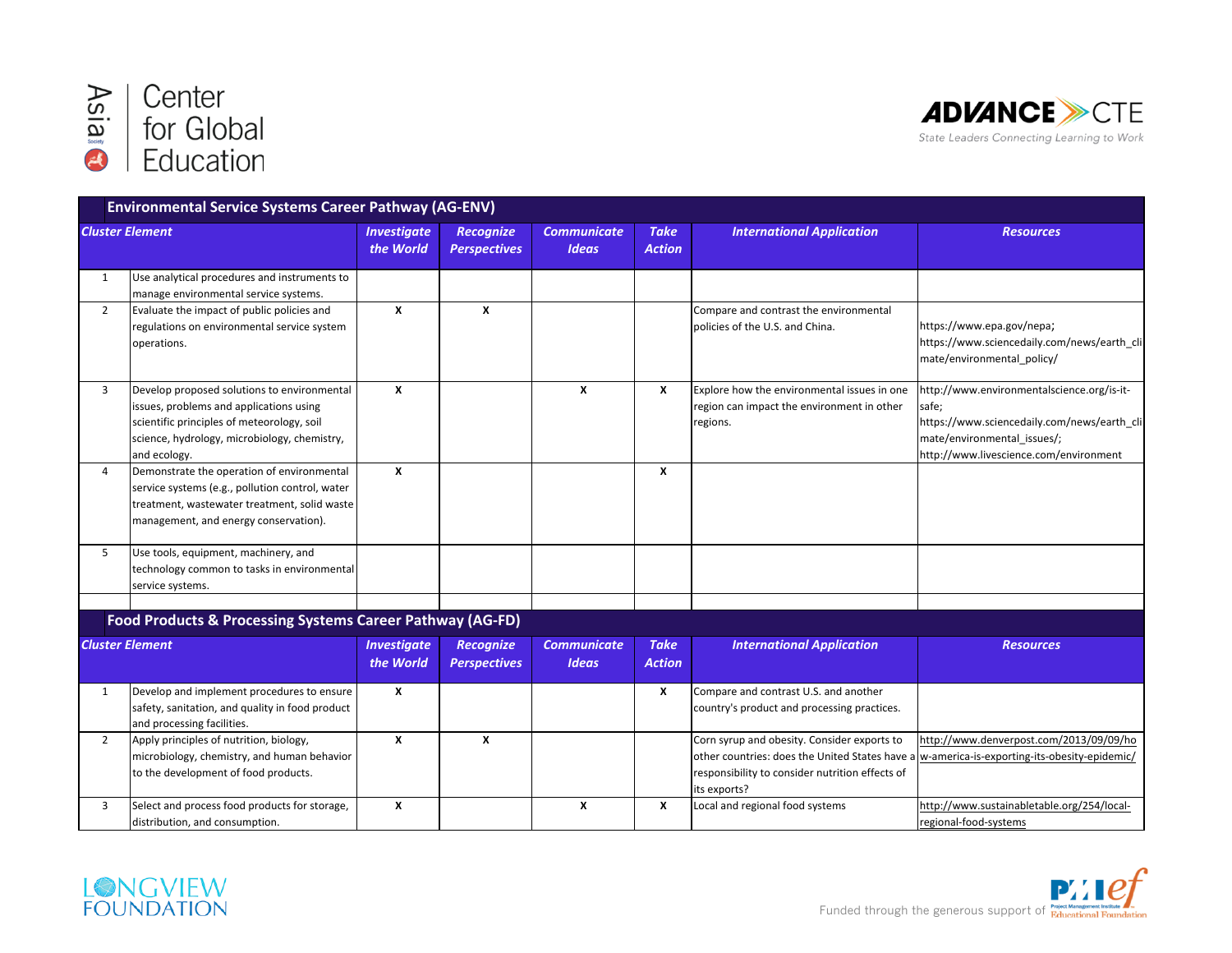



|                        | <b>Environmental Service Systems Career Pathway (AG-ENV)</b>                                                                                                                                         |                                 |                                         |                                    |                              |                                                                                                                                                                                                                |                                                                                                                                                                             |
|------------------------|------------------------------------------------------------------------------------------------------------------------------------------------------------------------------------------------------|---------------------------------|-----------------------------------------|------------------------------------|------------------------------|----------------------------------------------------------------------------------------------------------------------------------------------------------------------------------------------------------------|-----------------------------------------------------------------------------------------------------------------------------------------------------------------------------|
| <b>Cluster Element</b> |                                                                                                                                                                                                      | <b>Investigate</b><br>the World | <b>Recognize</b><br><b>Perspectives</b> | <b>Communicate</b><br><b>Ideas</b> | <b>Take</b><br><b>Action</b> | <b>International Application</b>                                                                                                                                                                               | <b>Resources</b>                                                                                                                                                            |
| 1                      | Use analytical procedures and instruments to<br>manage environmental service systems.                                                                                                                |                                 |                                         |                                    |                              |                                                                                                                                                                                                                |                                                                                                                                                                             |
| $\overline{2}$         | Evaluate the impact of public policies and<br>regulations on environmental service system<br>operations.                                                                                             | X                               | X                                       |                                    |                              | Compare and contrast the environmental<br>policies of the U.S. and China.                                                                                                                                      | https://www.epa.gov/nepa;<br>https://www.sciencedaily.com/news/earth_cli<br>mate/environmental policy/                                                                      |
| 3                      | Develop proposed solutions to environmental<br>issues, problems and applications using<br>scientific principles of meteorology, soil<br>science, hydrology, microbiology, chemistry,<br>and ecology. | X                               |                                         | X                                  | X                            | Explore how the environmental issues in one<br>region can impact the environment in other<br>regions.                                                                                                          | http://www.environmentalscience.org/is-it-<br>safe;<br>https://www.sciencedaily.com/news/earth_cli<br>mate/environmental issues/;<br>http://www.livescience.com/environment |
| 4                      | Demonstrate the operation of environmental<br>service systems (e.g., pollution control, water<br>treatment, wastewater treatment, solid waste<br>management, and energy conservation).               | X                               |                                         |                                    | X                            |                                                                                                                                                                                                                |                                                                                                                                                                             |
| 5                      | Use tools, equipment, machinery, and<br>technology common to tasks in environmental<br>service systems.                                                                                              |                                 |                                         |                                    |                              |                                                                                                                                                                                                                |                                                                                                                                                                             |
|                        | Food Products & Processing Systems Career Pathway (AG-FD)                                                                                                                                            |                                 |                                         |                                    |                              |                                                                                                                                                                                                                |                                                                                                                                                                             |
| <b>Cluster Element</b> |                                                                                                                                                                                                      | <b>Investigate</b><br>the World | <b>Recognize</b><br><b>Perspectives</b> | <b>Communicate</b><br><b>Ideas</b> | <b>Take</b><br><b>Action</b> | <b>International Application</b>                                                                                                                                                                               | <b>Resources</b>                                                                                                                                                            |
| 1                      | Develop and implement procedures to ensure<br>safety, sanitation, and quality in food product<br>and processing facilities.                                                                          | x                               |                                         |                                    | x                            | Compare and contrast U.S. and another<br>country's product and processing practices.                                                                                                                           |                                                                                                                                                                             |
| $\overline{2}$         | Apply principles of nutrition, biology,<br>microbiology, chemistry, and human behavior<br>to the development of food products.                                                                       | X                               | X                                       |                                    |                              | Corn syrup and obesity. Consider exports to<br>other countries: does the United States have a w-america-is-exporting-its-obesity-epidemic/<br>responsibility to consider nutrition effects of<br>lits exports? | http://www.denverpost.com/2013/09/09/ho                                                                                                                                     |
| 3                      | Select and process food products for storage,<br>distribution, and consumption.                                                                                                                      | X                               |                                         | X                                  | x                            | Local and regional food systems                                                                                                                                                                                | http://www.sustainabletable.org/254/local-<br>regional-food-systems                                                                                                         |



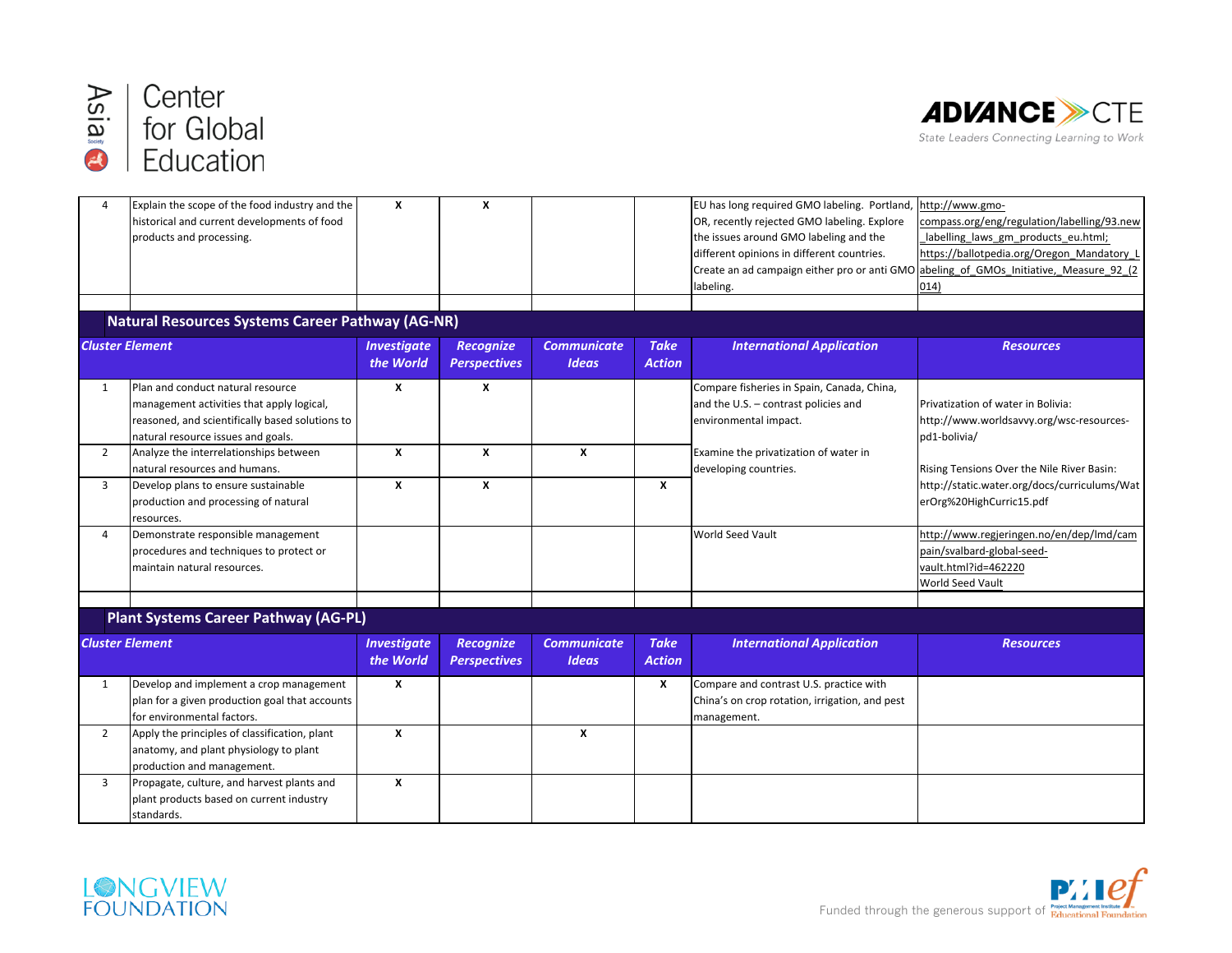



| $\overline{4}$         | Explain the scope of the food industry and the<br>historical and current developments of food<br>products and processing.                                               | $\boldsymbol{\mathsf{x}}$       | X                                       |                                    |                              | EU has long required GMO labeling. Portland,<br>OR, recently rejected GMO labeling. Explore<br>the issues around GMO labeling and the<br>different opinions in different countries.<br>Create an ad campaign either pro or anti GMO abeling of GMOs Initiative, Measure 92 (2) | http://www.gmo-<br>compass.org/eng/regulation/labelling/93.new<br>labelling_laws_gm_products_eu.html;<br>https://ballotpedia.org/Oregon_Mandatory_I |
|------------------------|-------------------------------------------------------------------------------------------------------------------------------------------------------------------------|---------------------------------|-----------------------------------------|------------------------------------|------------------------------|--------------------------------------------------------------------------------------------------------------------------------------------------------------------------------------------------------------------------------------------------------------------------------|-----------------------------------------------------------------------------------------------------------------------------------------------------|
|                        |                                                                                                                                                                         |                                 |                                         |                                    |                              | labeling.                                                                                                                                                                                                                                                                      | $ 014\rangle$                                                                                                                                       |
|                        |                                                                                                                                                                         |                                 |                                         |                                    |                              |                                                                                                                                                                                                                                                                                |                                                                                                                                                     |
|                        | <b>Natural Resources Systems Career Pathway (AG-NR)</b>                                                                                                                 |                                 |                                         |                                    |                              |                                                                                                                                                                                                                                                                                |                                                                                                                                                     |
| <b>Cluster Element</b> |                                                                                                                                                                         | <b>Investigate</b><br>the World | <b>Recognize</b><br><b>Perspectives</b> | <b>Communicate</b><br><b>Ideas</b> | <b>Take</b><br><b>Action</b> | <b>International Application</b>                                                                                                                                                                                                                                               | <b>Resources</b>                                                                                                                                    |
| $\mathbf{1}$           | Plan and conduct natural resource<br>management activities that apply logical,<br>reasoned, and scientifically based solutions to<br>natural resource issues and goals. | x                               | x                                       |                                    |                              | Compare fisheries in Spain, Canada, China,<br>and the U.S. - contrast policies and<br>environmental impact.                                                                                                                                                                    | Privatization of water in Bolivia:<br>http://www.worldsavvy.org/wsc-resources-<br>pd1-bolivia/                                                      |
| $\overline{2}$         | Analyze the interrelationships between<br>natural resources and humans.                                                                                                 | X                               | X                                       | X                                  |                              | Examine the privatization of water in<br>developing countries.                                                                                                                                                                                                                 | Rising Tensions Over the Nile River Basin:                                                                                                          |
| $\overline{3}$         | Develop plans to ensure sustainable<br>production and processing of natural<br>resources.                                                                               | X                               | X                                       |                                    | X                            |                                                                                                                                                                                                                                                                                | http://static.water.org/docs/curriculums/Wat<br>erOrg%20HighCurric15.pdf                                                                            |
| 4                      | Demonstrate responsible management<br>procedures and techniques to protect or<br>lmaintain natural resources.                                                           |                                 |                                         |                                    |                              | World Seed Vault                                                                                                                                                                                                                                                               | http://www.regjeringen.no/en/dep/lmd/cam<br>pain/svalbard-global-seed-<br>vault.html?id=462220<br>World Seed Vault                                  |
|                        |                                                                                                                                                                         |                                 |                                         |                                    |                              |                                                                                                                                                                                                                                                                                |                                                                                                                                                     |
|                        | <b>Plant Systems Career Pathway (AG-PL)</b>                                                                                                                             |                                 |                                         |                                    |                              |                                                                                                                                                                                                                                                                                |                                                                                                                                                     |
| <b>Cluster Element</b> |                                                                                                                                                                         | <b>Investigate</b><br>the World | <b>Recognize</b><br><b>Perspectives</b> | <b>Communicate</b><br><b>Ideas</b> | <b>Take</b><br><b>Action</b> | <b>International Application</b>                                                                                                                                                                                                                                               | <b>Resources</b>                                                                                                                                    |
| $\mathbf{1}$           | Develop and implement a crop management<br>plan for a given production goal that accounts<br>for environmental factors.                                                 | X                               |                                         |                                    | x                            | Compare and contrast U.S. practice with<br>China's on crop rotation, irrigation, and pest<br>management.                                                                                                                                                                       |                                                                                                                                                     |
| $\overline{2}$         | Apply the principles of classification, plant<br>anatomy, and plant physiology to plant<br>production and management.                                                   | $\pmb{\chi}$                    |                                         | $\pmb{\chi}$                       |                              |                                                                                                                                                                                                                                                                                |                                                                                                                                                     |
| 3                      | Propagate, culture, and harvest plants and<br>plant products based on current industry<br>standards.                                                                    | X                               |                                         |                                    |                              |                                                                                                                                                                                                                                                                                |                                                                                                                                                     |